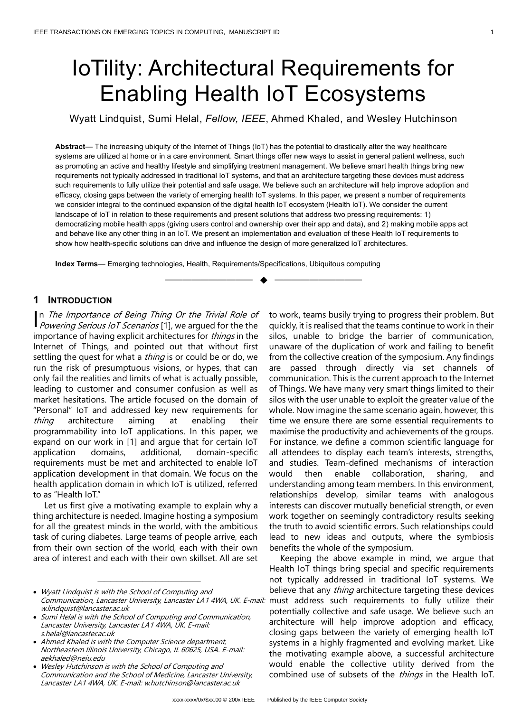# IoTility: Architectural Requirements for Enabling Health IoT Ecosystems

Wyatt Lindquist, Sumi Helal, *Fellow, IEEE*, Ahmed Khaled, and Wesley Hutchinson

**Abstract**— The increasing ubiquity of the Internet of Things (IoT) has the potential to drastically alter the way healthcare systems are utilized at home or in a care environment. Smart things offer new ways to assist in general patient wellness, such as promoting an active and healthy lifestyle and simplifying treatment management. We believe smart health things bring new requirements not typically addressed in traditional IoT systems, and that an architecture targeting these devices must address such requirements to fully utilize their potential and safe usage. We believe such an architecture will help improve adoption and efficacy, closing gaps between the variety of emerging health IoT systems. In this paper, we present a number of requirements we consider integral to the continued expansion of the digital health IoT ecosystem (Health IoT). We consider the current landscape of IoT in relation to these requirements and present solutions that address two pressing requirements: 1) democratizing mobile health apps (giving users control and ownership over their app and data), and 2) making mobile apps act and behave like any other thing in an IoT. We present an implementation and evaluation of these Health IoT requirements to show how health-specific solutions can drive and influence the design of more generalized IoT architectures.

—————————— ◆ ——————————

**Index Terms**— Emerging technologies, Health, Requirements/Specifications, Ubiquitous computing

# **1 INTRODUCTION**

n The Importance of Being Thing Or the Trivial Role of In The Importance of Being Thing Or the Trivial Role of Powering Serious IoT Scenarios [1], we argued for the the importance of having explicit architectures for *things* in the Internet of Things, and pointed out that without first settling the quest for what a *thing* is or could be or do, we run the risk of presumptuous visions, or hypes, that can only fail the realities and limits of what is actually possible, leading to customer and consumer confusion as well as market hesitations. The article focused on the domain of "Personal" IoT and addressed key new requirements for thing architecture aiming at enabling their programmability into IoT applications. In this paper, we expand on our work in [1] and argue that for certain IoT application domains, additional, domain-specific requirements must be met and architected to enable IoT application development in that domain. We focus on the health application domain in which IoT is utilized, referred to as "Health IoT."

Let us first give a motivating example to explain why a thing architecture is needed. Imagine hosting a symposium for all the greatest minds in the world, with the ambitious task of curing diabetes. Large teams of people arrive, each from their own section of the world, each with their own area of interest and each with their own skillset. All are set

————————————————

to work, teams busily trying to progress their problem. But quickly, it is realised that the teams continue to work in their silos, unable to bridge the barrier of communication, unaware of the duplication of work and failing to benefit from the collective creation of the symposium. Any findings are passed through directly via set channels of communication. This is the current approach to the Internet of Things. We have many very smart things limited to their silos with the user unable to exploit the greater value of the whole. Now imagine the same scenario again, however, this time we ensure there are some essential requirements to maximise the productivity and achievements of the groups. For instance, we define a common scientific language for all attendees to display each team's interests, strengths, and studies. Team-defined mechanisms of interaction would then enable collaboration, sharing, and understanding among team members. In this environment, relationships develop, similar teams with analogous interests can discover mutually beneficial strength, or even work together on seemingly contradictory results seeking the truth to avoid scientific errors. Such relationships could lead to new ideas and outputs, where the symbiosis benefits the whole of the symposium.

Keeping the above example in mind, we argue that Health IoT things bring special and specific requirements not typically addressed in traditional IoT systems. We believe that any *thing* architecture targeting these devices must address such requirements to fully utilize their potentially collective and safe usage. We believe such an architecture will help improve adoption and efficacy, closing gaps between the variety of emerging health IoT systems in a highly fragmented and evolving market. Like the motivating example above, a successful architecture would enable the collective utility derived from the combined use of subsets of the things in the Health IoT.

<sup>•</sup> Wyatt Lindquist is with the School of Computing and Communication, Lancaster University, Lancaster LA1 4WA, UK. E-mail: w.lindquist@lancaster.ac.uk

<sup>•</sup> Sumi Helal is with the School of Computing and Communication, Lancaster University, Lancaster LA1 4WA, UK. E-mail: s.helal@lancaster.ac.uk

<sup>•</sup> Ahmed Khaled is with the Computer Science department, Northeastern Illinois University, Chicago, IL 60625, USA. E-mail: aekhaled@neiu.edu

<sup>•</sup> Wesley Hutchinson is with the School of Computing and Communication and the School of Medicine, Lancaster University, Lancaster LA1 4WA, UK. E-mail: w.hutchinson@lancaster.ac.uk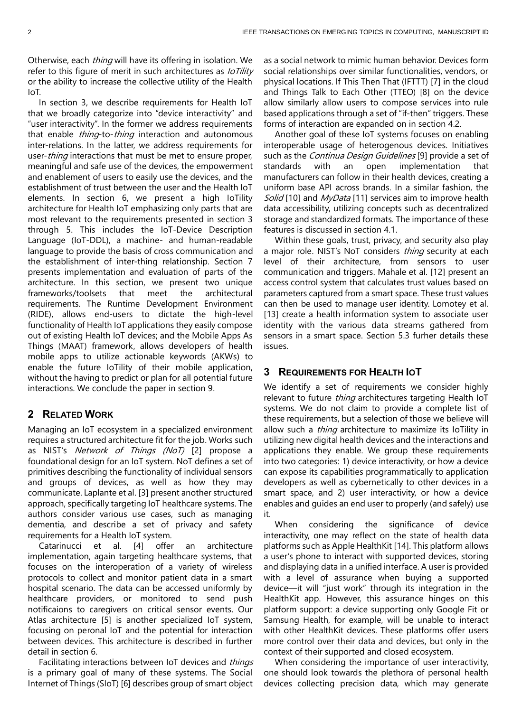Otherwise, each *thing* will have its offering in isolation. We refer to this figure of merit in such architectures as *IoTility* or the ability to increase the collective utility of the Health IoT.

In section 3, we describe requirements for Health IoT that we broadly categorize into "device interactivity" and "user interactivity". In the former we address requirements that enable *thing*-to-*thing* interaction and autonomous inter-relations. In the latter, we address requirements for user-*thing* interactions that must be met to ensure proper, meaningful and safe use of the devices, the empowerment and enablement of users to easily use the devices, and the establishment of trust between the user and the Health IoT elements. In section 6, we present a high IoTility architecture for Health IoT emphasizing only parts that are most relevant to the requirements presented in section 3 through 5. This includes the IoT-Device Description Language (IoT-DDL), a machine- and human-readable language to provide the basis of cross communication and the establishment of inter-thing relationship. Section 7 presents implementation and evaluation of parts of the architecture. In this section, we present two unique frameworks/toolsets that meet the architectural requirements. The Runtime Development Environment (RIDE), allows end-users to dictate the high-level functionality of Health IoT applications they easily compose out of existing Health IoT devices; and the Mobile Apps As Things (MAAT) framework, allows developers of health mobile apps to utilize actionable keywords (AKWs) to enable the future IoTility of their mobile application, without the having to predict or plan for all potential future interactions. We conclude the paper in section 9.

# **2 RELATED WORK**

Managing an IoT ecosystem in a specialized environment requires a structured architecture fit for the job. Works such as NIST's Network of Things (NoT) [2] propose a foundational design for an IoT system. NoT defines a set of primitives describing the functionality of individual sensors and groups of devices, as well as how they may communicate. Laplante et al. [3] present another structured approach, specifically targeting IoT healthcare systems. The authors consider various use cases, such as managing dementia, and describe a set of privacy and safety requirements for a Health IoT system.

Catarinucci et al. [4] offer an architecture implementation, again targeting healthcare systems, that focuses on the interoperation of a variety of wireless protocols to collect and monitor patient data in a smart hospital scenario. The data can be accessed uniformly by healthcare providers, or monitored to send push notificaions to caregivers on critical sensor events. Our Atlas architecture [5] is another specialized IoT system, focusing on peronal IoT and the potential for interaction between devices. This architecture is described in further detail in section 6.

Facilitating interactions between IoT devices and *things* is a primary goal of many of these systems. The Social Internet of Things (SIoT) [6] describes group of smart object as a social network to mimic human behavior. Devices form social relationships over similar functionalities, vendors, or physical locations. If This Then That (IFTTT) [7] in the cloud and Things Talk to Each Other (TTEO) [8] on the device allow similarly allow users to compose services into rule based applications through a set of "if-then" triggers. These forms of interaction are expanded on in section 4.2.

Another goal of these IoT systems focuses on enabling interoperable usage of heterogenous devices. Initiatives such as the *Continua Design Guidelines* [9] provide a set of standards with an open implementation that manufacturers can follow in their health devices, creating a uniform base API across brands. In a similar fashion, the Solid [10] and MyData [11] services aim to improve health data accessibility, utilizing concepts such as decentralized storage and standardized formats. The importance of these features is discussed in section 4.1.

Within these goals, trust, privacy, and security also play a major role. NIST's NoT considers *thing* security at each level of their architecture, from sensors to user communication and triggers. Mahale et al. [12] present an access control system that calculates trust values based on parameters captured from a smart space. These trust values can then be used to manage user identity. Lomotey et al. [13] create a health information system to associate user identity with the various data streams gathered from sensors in a smart space. Section 5.3 furher details these issues.

# **3 REQUIREMENTS FOR HEALTH IOT**

We identify a set of requirements we consider highly relevant to future thing architectures targeting Health IoT systems. We do not claim to provide a complete list of these requirements, but a selection of those we believe will allow such a *thing* architecture to maximize its IoTility in utilizing new digital health devices and the interactions and applications they enable. We group these requirements into two categories: 1) device interactivity, or how a device can expose its capabilities programmatically to application developers as well as cybernetically to other devices in a smart space, and 2) user interactivity, or how a device enables and guides an end user to properly (and safely) use it.

When considering the significance of device interactivity, one may reflect on the state of health data platforms such as Apple HealthKit [14]. This platform allows a user's phone to interact with supported devices, storing and displaying data in a unified interface. A user is provided with a level of assurance when buying a supported device—it will "just work" through its integration in the HealthKit app. However, this assurance hinges on this platform support: a device supporting only Google Fit or Samsung Health, for example, will be unable to interact with other HealthKit devices. These platforms offer users more control over their data and devices, but only in the context of their supported and closed ecosystem.

When considering the importance of user interactivity, one should look towards the plethora of personal health devices collecting precision data, which may generate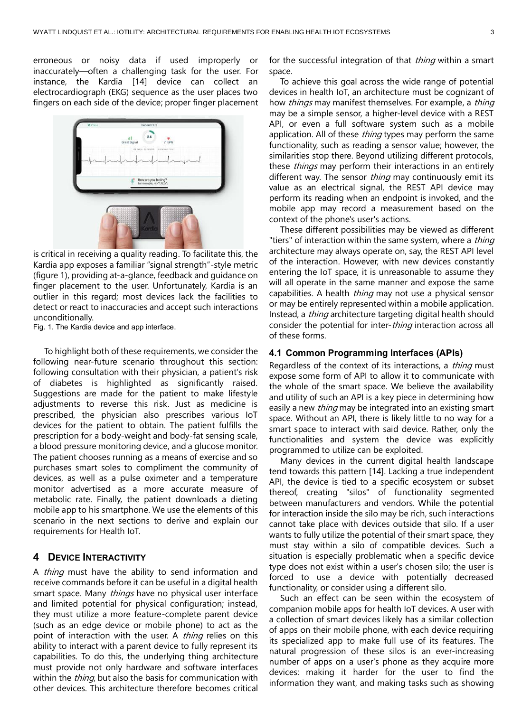erroneous or noisy data if used improperly or inaccurately—often a challenging task for the user. For instance, the Kardia [14] device can collect an electrocardiograph (EKG) sequence as the user places two fingers on each side of the device; proper finger placement



is critical in receiving a quality reading. To facilitate this, the Kardia app exposes a familiar "signal strength"-style metric (figure 1), providing at-a-glance, feedback and guidance on finger placement to the user. Unfortunately, Kardia is an outlier in this regard; most devices lack the facilities to detect or react to inaccuracies and accept such interactions unconditionally.

Fig. 1. The Kardia device and app interface.

To highlight both of these requirements, we consider the following near-future scenario throughout this section: following consultation with their physician, a patient's risk of diabetes is highlighted as significantly raised. Suggestions are made for the patient to make lifestyle adjustments to reverse this risk. Just as medicine is prescribed, the physician also prescribes various IoT devices for the patient to obtain. The patient fulfills the prescription for a body-weight and body-fat sensing scale, a blood pressure monitoring device, and a glucose monitor. The patient chooses running as a means of exercise and so purchases smart soles to compliment the community of devices, as well as a pulse oximeter and a temperature monitor advertised as a more accurate measure of metabolic rate. Finally, the patient downloads a dieting mobile app to his smartphone. We use the elements of this scenario in the next sections to derive and explain our requirements for Health IoT.

# **4 DEVICE INTERACTIVITY**

A *thing* must have the ability to send information and receive commands before it can be useful in a digital health smart space. Many *things* have no physical user interface and limited potential for physical configuration; instead, they must utilize a more feature-complete parent device (such as an edge device or mobile phone) to act as the point of interaction with the user. A *thing* relies on this ability to interact with a parent device to fully represent its capabilities. To do this, the underlying thing architecture must provide not only hardware and software interfaces within the *thing*, but also the basis for communication with other devices. This architecture therefore becomes critical

for the successful integration of that *thing* within a smart space.

To achieve this goal across the wide range of potential devices in health IoT, an architecture must be cognizant of how *things* may manifest themselves. For example, a *thing* may be a simple sensor, a higher-level device with a REST API, or even a full software system such as a mobile application. All of these *thing* types may perform the same functionality, such as reading a sensor value; however, the similarities stop there. Beyond utilizing different protocols, these *things* may perform their interactions in an entirely different way. The sensor thing may continuously emit its value as an electrical signal, the REST API device may perform its reading when an endpoint is invoked, and the mobile app may record a measurement based on the context of the phone's user's actions.

These different possibilities may be viewed as different "tiers" of interaction within the same system, where a thing architecture may always operate on, say, the REST API level of the interaction. However, with new devices constantly entering the IoT space, it is unreasonable to assume they will all operate in the same manner and expose the same capabilities. A health *thing* may not use a physical sensor or may be entirely represented within a mobile application. Instead, a thing architecture targeting digital health should consider the potential for inter-*thing* interaction across all of these forms.

## **4.1 Common Programming Interfaces (APIs)**

Regardless of the context of its interactions, a *thing* must expose some form of API to allow it to communicate with the whole of the smart space. We believe the availability and utility of such an API is a key piece in determining how easily a new *thing* may be integrated into an existing smart space. Without an API, there is likely little to no way for a smart space to interact with said device. Rather, only the functionalities and system the device was explicitly programmed to utilize can be exploited.

Many devices in the current digital health landscape tend towards this pattern [14]. Lacking a true independent API, the device is tied to a specific ecosystem or subset thereof, creating "silos" of functionality segmented between manufacturers and vendors. While the potential for interaction inside the silo may be rich, such interactions cannot take place with devices outside that silo. If a user wants to fully utilize the potential of their smart space, they must stay within a silo of compatible devices. Such a situation is especially problematic when a specific device type does not exist within a user's chosen silo; the user is forced to use a device with potentially decreased functionality, or consider using a different silo.

Such an effect can be seen within the ecosystem of companion mobile apps for health IoT devices. A user with a collection of smart devices likely has a similar collection of apps on their mobile phone, with each device requiring its specialized app to make full use of its features. The natural progression of these silos is an ever-increasing number of apps on a user's phone as they acquire more devices: making it harder for the user to find the information they want, and making tasks such as showing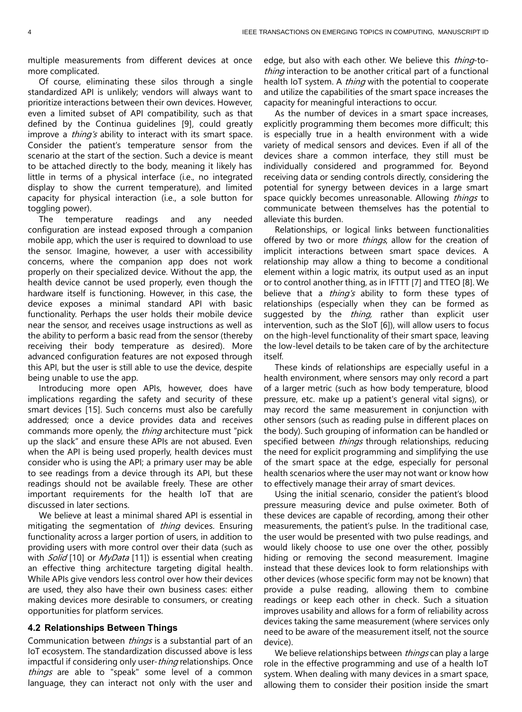multiple measurements from different devices at once more complicated.

Of course, eliminating these silos through a single standardized API is unlikely; vendors will always want to prioritize interactions between their own devices. However, even a limited subset of API compatibility, such as that defined by the Continua guidelines [9], could greatly improve a *thing's* ability to interact with its smart space. Consider the patient's temperature sensor from the scenario at the start of the section. Such a device is meant to be attached directly to the body, meaning it likely has little in terms of a physical interface (i.e., no integrated display to show the current temperature), and limited capacity for physical interaction (i.e., a sole button for toggling power).

The temperature readings and any needed configuration are instead exposed through a companion mobile app, which the user is required to download to use the sensor. Imagine, however, a user with accessibility concerns, where the companion app does not work properly on their specialized device. Without the app, the health device cannot be used properly, even though the hardware itself is functioning. However, in this case, the device exposes a minimal standard API with basic functionality. Perhaps the user holds their mobile device near the sensor, and receives usage instructions as well as the ability to perform a basic read from the sensor (thereby receiving their body temperature as desired). More advanced configuration features are not exposed through this API, but the user is still able to use the device, despite being unable to use the app.

Introducing more open APIs, however, does have implications regarding the safety and security of these smart devices [15]. Such concerns must also be carefully addressed; once a device provides data and receives commands more openly, the *thing* architecture must "pick up the slack" and ensure these APIs are not abused. Even when the API is being used properly, health devices must consider who is using the API; a primary user may be able to see readings from a device through its API, but these readings should not be available freely. These are other important requirements for the health IoT that are discussed in later sections.

We believe at least a minimal shared API is essential in mitigating the segmentation of *thing* devices. Ensuring functionality across a larger portion of users, in addition to providing users with more control over their data (such as with *Solid* [10] or *MyData* [11]) is essential when creating an effective thing architecture targeting digital health. While APIs give vendors less control over how their devices are used, they also have their own business cases: either making devices more desirable to consumers, or creating opportunities for platform services.

#### **4.2 Relationships Between Things**

Communication between *things* is a substantial part of an IoT ecosystem. The standardization discussed above is less impactful if considering only user-*thing* relationships. Once things are able to "speak" some level of a common language, they can interact not only with the user and

edge, but also with each other. We believe this *thing*-tothing interaction to be another critical part of a functional health IoT system. A *thing* with the potential to cooperate and utilize the capabilities of the smart space increases the capacity for meaningful interactions to occur.

As the number of devices in a smart space increases, explicitly programming them becomes more difficult; this is especially true in a health environment with a wide variety of medical sensors and devices. Even if all of the devices share a common interface, they still must be individually considered and programmed for. Beyond receiving data or sending controls directly, considering the potential for synergy between devices in a large smart space quickly becomes unreasonable. Allowing things to communicate between themselves has the potential to alleviate this burden.

Relationships, or logical links between functionalities offered by two or more things, allow for the creation of implicit interactions between smart space devices. A relationship may allow a thing to become a conditional element within a logic matrix, its output used as an input or to control another thing, as in IFTTT [7] and TTEO [8]. We believe that a thing's ability to form these types of relationships (especially when they can be formed as suggested by the *thing*, rather than explicit user intervention, such as the SIoT [6]), will allow users to focus on the high-level functionality of their smart space, leaving the low-level details to be taken care of by the architecture itself.

These kinds of relationships are especially useful in a health environment, where sensors may only record a part of a larger metric (such as how body temperature, blood pressure, etc. make up a patient's general vital signs), or may record the same measurement in conjunction with other sensors (such as reading pulse in different places on the body). Such grouping of information can be handled or specified between things through relationships, reducing the need for explicit programming and simplifying the use of the smart space at the edge, especially for personal health scenarios where the user may not want or know how to effectively manage their array of smart devices.

Using the initial scenario, consider the patient's blood pressure measuring device and pulse oximeter. Both of these devices are capable of recording, among their other measurements, the patient's pulse. In the traditional case, the user would be presented with two pulse readings, and would likely choose to use one over the other, possibly hiding or removing the second measurement. Imagine instead that these devices look to form relationships with other devices (whose specific form may not be known) that provide a pulse reading, allowing them to combine readings or keep each other in check. Such a situation improves usability and allows for a form of reliability across devices taking the same measurement (where services only need to be aware of the measurement itself, not the source device).

We believe relationships between *things* can play a large role in the effective programming and use of a health IoT system. When dealing with many devices in a smart space, allowing them to consider their position inside the smart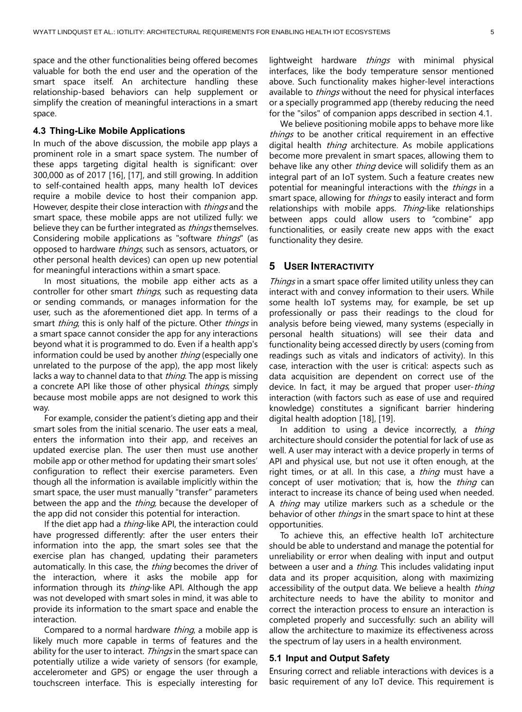space and the other functionalities being offered becomes valuable for both the end user and the operation of the smart space itself. An architecture handling these relationship-based behaviors can help supplement or simplify the creation of meaningful interactions in a smart space.

#### **4.3 Thing-Like Mobile Applications**

In much of the above discussion, the mobile app plays a prominent role in a smart space system. The number of these apps targeting digital health is significant: over 300,000 as of 2017 [16], [17], and still growing. In addition to self-contained health apps, many health IoT devices require a mobile device to host their companion app. However, despite their close interaction with *things* and the smart space, these mobile apps are not utilized fully: we believe they can be further integrated as *things* themselves. Considering mobile applications as "software *things*" (as opposed to hardware *things*, such as sensors, actuators, or other personal health devices) can open up new potential for meaningful interactions within a smart space.

In most situations, the mobile app either acts as a controller for other smart *things*, such as requesting data or sending commands, or manages information for the user, such as the aforementioned diet app. In terms of a smart *thing*, this is only half of the picture. Other *things* in a smart space cannot consider the app for any interactions beyond what it is programmed to do. Even if a health app's information could be used by another thing (especially one unrelated to the purpose of the app), the app most likely lacks a way to channel data to that *thing*. The app is missing a concrete API like those of other physical *things*, simply because most mobile apps are not designed to work this way.

For example, consider the patient's dieting app and their smart soles from the initial scenario. The user eats a meal, enters the information into their app, and receives an updated exercise plan. The user then must use another mobile app or other method for updating their smart soles' configuration to reflect their exercise parameters. Even though all the information is available implicitly within the smart space, the user must manually "transfer" parameters between the app and the *thing*, because the developer of the app did not consider this potential for interaction.

If the diet app had a *thing*-like API, the interaction could have progressed differently: after the user enters their information into the app, the smart soles see that the exercise plan has changed, updating their parameters automatically. In this case, the *thing* becomes the driver of the interaction, where it asks the mobile app for information through its *thing*-like API. Although the app was not developed with smart soles in mind, it was able to provide its information to the smart space and enable the interaction.

Compared to a normal hardware *thing*, a mobile app is likely much more capable in terms of features and the ability for the user to interact. Things in the smart space can potentially utilize a wide variety of sensors (for example, accelerometer and GPS) or engage the user through a touchscreen interface. This is especially interesting for

lightweight hardware *things* with minimal physical interfaces, like the body temperature sensor mentioned above. Such functionality makes higher-level interactions available to *things* without the need for physical interfaces or a specially programmed app (thereby reducing the need for the "silos" of companion apps described in section 4.1.

We believe positioning mobile apps to behave more like things to be another critical requirement in an effective digital health *thing* architecture. As mobile applications become more prevalent in smart spaces, allowing them to behave like any other *thing* device will solidify them as an integral part of an IoT system. Such a feature creates new potential for meaningful interactions with the *things* in a smart space, allowing for *things* to easily interact and form relationships with mobile apps. Thing-like relationships between apps could allow users to "combine" app functionalities, or easily create new apps with the exact functionality they desire.

# **5 USER INTERACTIVITY**

Things in a smart space offer limited utility unless they can interact with and convey information to their users. While some health IoT systems may, for example, be set up professionally or pass their readings to the cloud for analysis before being viewed, many systems (especially in personal health situations) will see their data and functionality being accessed directly by users (coming from readings such as vitals and indicators of activity). In this case, interaction with the user is critical: aspects such as data acquisition are dependent on correct use of the device. In fact, it may be arqued that proper user-thing interaction (with factors such as ease of use and required knowledge) constitutes a significant barrier hindering digital health adoption [18], [19].

In addition to using a device incorrectly, a *thing* architecture should consider the potential for lack of use as well. A user may interact with a device properly in terms of API and physical use, but not use it often enough, at the right times, or at all. In this case, a *thing* must have a concept of user motivation; that is, how the thing can interact to increase its chance of being used when needed. A thing may utilize markers such as a schedule or the behavior of other *things* in the smart space to hint at these opportunities.

To achieve this, an effective health IoT architecture should be able to understand and manage the potential for unreliability or error when dealing with input and output between a user and a *thing*. This includes validating input data and its proper acquisition, along with maximizing accessibility of the output data. We believe a health thing architecture needs to have the ability to monitor and correct the interaction process to ensure an interaction is completed properly and successfully: such an ability will allow the architecture to maximize its effectiveness across the spectrum of lay users in a health environment.

#### **5.1 Input and Output Safety**

Ensuring correct and reliable interactions with devices is a basic requirement of any IoT device. This requirement is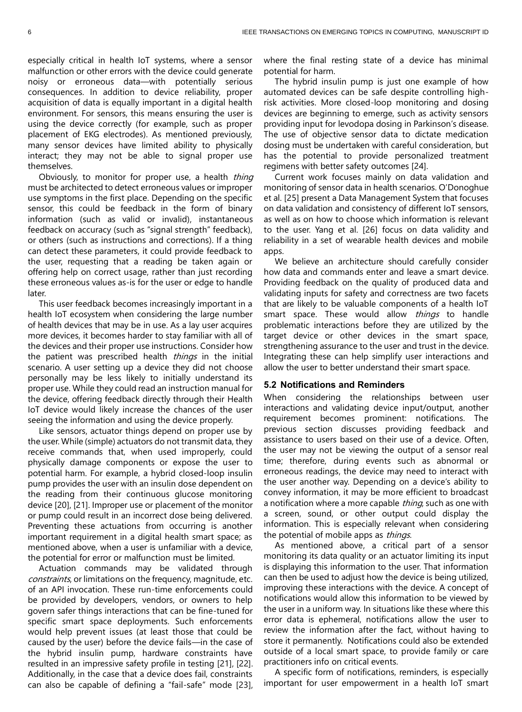especially critical in health IoT systems, where a sensor malfunction or other errors with the device could generate noisy or erroneous data—with potentially serious consequences. In addition to device reliability, proper acquisition of data is equally important in a digital health environment. For sensors, this means ensuring the user is using the device correctly (for example, such as proper placement of EKG electrodes). As mentioned previously, many sensor devices have limited ability to physically interact; they may not be able to signal proper use themselves.

Obviously, to monitor for proper use, a health thing must be architected to detect erroneous values or improper use symptoms in the first place. Depending on the specific sensor, this could be feedback in the form of binary information (such as valid or invalid), instantaneous feedback on accuracy (such as "signal strength" feedback), or others (such as instructions and corrections). If a thing can detect these parameters, it could provide feedback to the user, requesting that a reading be taken again or offering help on correct usage, rather than just recording these erroneous values as-is for the user or edge to handle later.

This user feedback becomes increasingly important in a health IoT ecosystem when considering the large number of health devices that may be in use. As a lay user acquires more devices, it becomes harder to stay familiar with all of the devices and their proper use instructions. Consider how the patient was prescribed health things in the initial scenario. A user setting up a device they did not choose personally may be less likely to initially understand its proper use. While they could read an instruction manual for the device, offering feedback directly through their Health IoT device would likely increase the chances of the user seeing the information and using the device properly.

Like sensors, actuator things depend on proper use by the user. While (simple) actuators do not transmit data, they receive commands that, when used improperly, could physically damage components or expose the user to potential harm. For example, a hybrid closed-loop insulin pump provides the user with an insulin dose dependent on the reading from their continuous glucose monitoring device [20], [21]. Improper use or placement of the monitor or pump could result in an incorrect dose being delivered. Preventing these actuations from occurring is another important requirement in a digital health smart space; as mentioned above, when a user is unfamiliar with a device, the potential for error or malfunction must be limited.

Actuation commands may be validated through constraints, or limitations on the frequency, magnitude, etc. of an API invocation. These run-time enforcements could be provided by developers, vendors, or owners to help govern safer things interactions that can be fine-tuned for specific smart space deployments. Such enforcements would help prevent issues (at least those that could be caused by the user) before the device fails—in the case of the hybrid insulin pump, hardware constraints have resulted in an impressive safety profile in testing [21], [22]. Additionally, in the case that a device does fail, constraints can also be capable of defining a "fail-safe" mode [23], where the final resting state of a device has minimal potential for harm.

The hybrid insulin pump is just one example of how automated devices can be safe despite controlling highrisk activities. More closed-loop monitoring and dosing devices are beginning to emerge, such as activity sensors providing input for levodopa dosing in Parkinson's disease. The use of objective sensor data to dictate medication dosing must be undertaken with careful consideration, but has the potential to provide personalized treatment regimens with better safety outcomes [24].

Current work focuses mainly on data validation and monitoring of sensor data in health scenarios. O'Donoghue et al. [25] present a Data Management System that focuses on data validation and consistency of different IoT sensors, as well as on how to choose which information is relevant to the user. Yang et al. [26] focus on data validity and reliability in a set of wearable health devices and mobile apps.

We believe an architecture should carefully consider how data and commands enter and leave a smart device. Providing feedback on the quality of produced data and validating inputs for safety and correctness are two facets that are likely to be valuable components of a health IoT smart space. These would allow *things* to handle problematic interactions before they are utilized by the target device or other devices in the smart space, strengthening assurance to the user and trust in the device. Integrating these can help simplify user interactions and allow the user to better understand their smart space.

#### **5.2 Notifications and Reminders**

When considering the relationships between user interactions and validating device input/output, another requirement becomes prominent: notifications. The previous section discusses providing feedback and assistance to users based on their use of a device. Often, the user may not be viewing the output of a sensor real time; therefore, during events such as abnormal or erroneous readings, the device may need to interact with the user another way. Depending on a device's ability to convey information, it may be more efficient to broadcast a notification where a more capable *thing*, such as one with a screen, sound, or other output could display the information. This is especially relevant when considering the potential of mobile apps as *things*.

As mentioned above, a critical part of a sensor monitoring its data quality or an actuator limiting its input is displaying this information to the user. That information can then be used to adjust how the device is being utilized, improving these interactions with the device. A concept of notifications would allow this information to be viewed by the user in a uniform way. In situations like these where this error data is ephemeral, notifications allow the user to review the information after the fact, without having to store it permanently. Notifications could also be extended outside of a local smart space, to provide family or care practitioners info on critical events.

A specific form of notifications, reminders, is especially important for user empowerment in a health IoT smart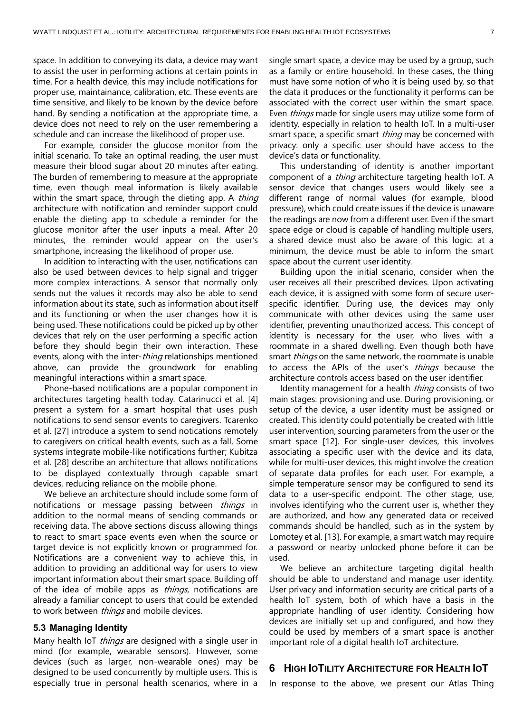space. In addition to conveying its data, a device may want to assist the user in performing actions at certain points in time. For a health device, this may include notifications for proper use, maintainance, calibration, etc. These events are time sensitive, and likely to be known by the device before hand. By sending a notification at the appropriate time, a device does not need to rely on the user remembering a schedule and can increase the likelihood of proper use.

For example, consider the glucose monitor from the initial scenario. To take an optimal reading, the user must measure their blood sugar about 20 minutes after eating. The burden of remembering to measure at the appropriate time, even though meal information is likely available within the smart space, through the dieting app. A thing architecture with notification and reminder support could enable the dieting app to schedule a reminder for the glucose monitor after the user inputs a meal. After 20 minutes, the reminder would appear on the user's smartphone, increasing the likelihood of proper use.

In addition to interacting with the user, notifications can also be used between devices to help signal and trigger more complex interactions. A sensor that normally only sends out the values it records may also be able to send information about its state, such as information about itself and its functioning or when the user changes how it is being used. These notifications could be picked up by other devices that rely on the user performing a specific action before they should begin their own interaction. These events, along with the inter-*thing* relationships mentioned above, can provide the groundwork for enabling meaningful interactions within a smart space.

Phone-based notifications are a popular component in architectures targeting health today. Catarinucci et al. [4] present a system for a smart hospital that uses push notifications to send sensor events to caregivers. Tcarenko et al. [27] introduce a system to send notications remotely to caregivers on critical health events, such as a fall. Some systems integrate mobile-like notifications further; Kubitza et al. [28] describe an architecture that allows notifications to be displayed contextually through capable smart devices, reducing reliance on the mobile phone.

We believe an architecture should include some form of notifications or message passing between *things* in addition to the normal means of sending commands or receiving data. The above sections discuss allowing things to react to smart space events even when the source or target device is not explicitly known or programmed for. Notifications are a convenient way to achieve this, in addition to providing an additional way for users to view important information about their smart space. Building off of the idea of mobile apps as *things*, notifications are already a familiar concept to users that could be extended to work between *things* and mobile devices.

#### **5.3 Managing Identity**

Many health IoT *things* are designed with a single user in mind (for example, wearable sensors). However, some devices (such as larger, non-wearable ones) may be designed to be used concurrently by multiple users. This is especially true in personal health scenarios, where in a

single smart space, a device may be used by a group, such as a family or entire household. In these cases, the thing must have some notion of who it is being used by, so that the data it produces or the functionality it performs can be associated with the correct user within the smart space. Even *things* made for single users may utilize some form of identity, especially in relation to health IoT. In a multi-user smart space, a specific smart *thing* may be concerned with privacy: only a specific user should have access to the device's data or functionality.

This understanding of identity is another important component of a *thing* architecture targeting health IoT. A sensor device that changes users would likely see a different range of normal values (for example, blood pressure), which could create issues if the device is unaware the readings are now from a different user. Even if the smart space edge or cloud is capable of handling multiple users, a shared device must also be aware of this logic: at a minimum, the device must be able to inform the smart space about the current user identity.

Building upon the initial scenario, consider when the user receives all their prescribed devices. Upon activating each device, it is assigned with some form of secure userspecific identifier. During use, the devices may only communicate with other devices using the same user identifier, preventing unauthorized access. This concept of identity is necessary for the user, who lives with a roommate in a shared dwelling. Even though both have smart things on the same network, the roommate is unable to access the APIs of the user's *things* because the architecture controls access based on the user identifier.

Identity management for a health *thing* consists of two main stages: provisioning and use. During provisioning, or setup of the device, a user identity must be assigned or created. This identity could potentially be created with little user intervention, sourcing parameters from the user or the smart space [12]. For single-user devices, this involves associating a specific user with the device and its data, while for multi-user devices, this might involve the creation of separate data profiles for each user. For example, a simple temperature sensor may be configured to send its data to a user-specific endpoint. The other stage, use, involves identifying who the current user is, whether they are authorized, and how any generated data or received commands should be handled, such as in the system by Lomotey et al. [13]. For example, a smart watch may require a password or nearby unlocked phone before it can be used.

We believe an architecture targeting digital health should be able to understand and manage user identity. User privacy and information security are critical parts of a health IoT system, both of which have a basis in the appropriate handling of user identity. Considering how devices are initially set up and configured, and how they could be used by members of a smart space is another important role of a digital health IoT architecture.

## **6 HIGH IOTILITY ARCHITECTURE FOR HEALTH IOT**

In response to the above, we present our Atlas Thing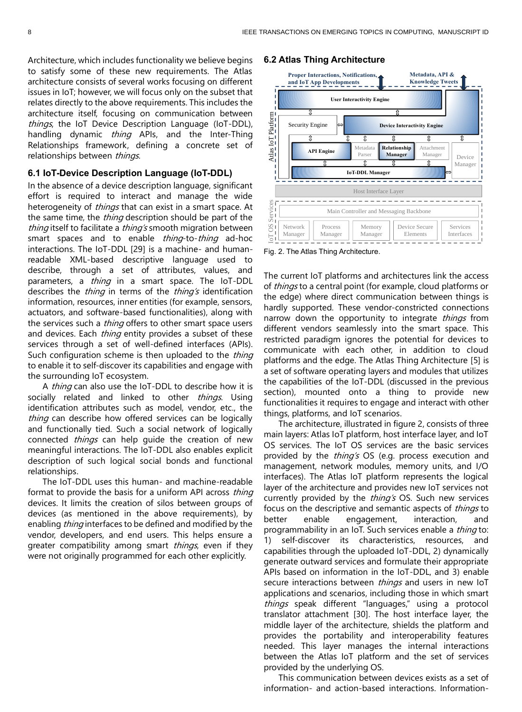Architecture, which includes functionality we believe begins to satisfy some of these new requirements. The Atlas architecture consists of several works focusing on different issues in IoT; however, we will focus only on the subset that relates directly to the above requirements. This includes the architecture itself, focusing on communication between things, the IoT Device Description Language (IoT-DDL), handling dynamic *thing* APIs, and the Inter-Thing Relationships framework, defining a concrete set of relationships between things.

# **6.1 IoT-Device Description Language (IoT-DDL)**

In the absence of a device description language, significant effort is required to interact and manage the wide heterogeneity of things that can exist in a smart space. At the same time, the *thing* description should be part of the thing itself to facilitate a thing's smooth migration between smart spaces and to enable *thing*-to-*thing* ad-hoc interactions. The IoT-DDL [29] is a machine- and humanreadable XML-based descriptive language used to describe, through a set of attributes, values, and parameters, a *thing* in a smart space. The IoT-DDL describes the *thing* in terms of the *thing's* identification information, resources, inner entities (for example, sensors, actuators, and software-based functionalities), along with the services such a *thing* offers to other smart space users and devices. Each *thing* entity provides a subset of these services through a set of well-defined interfaces (APIs). Such configuration scheme is then uploaded to the thing to enable it to self-discover its capabilities and engage with the surrounding IoT ecosystem.

A *thing* can also use the IoT-DDL to describe how it is socially related and linked to other things. Using identification attributes such as model, vendor, etc., the thing can describe how offered services can be logically and functionally tied. Such a social network of logically connected *things* can help guide the creation of new meaningful interactions. The IoT-DDL also enables explicit description of such logical social bonds and functional relationships.

The IoT-DDL uses this human- and machine-readable format to provide the basis for a uniform API across *thing* devices. It limits the creation of silos between groups of devices (as mentioned in the above requirements), by enabling *thing* interfaces to be defined and modified by the vendor, developers, and end users. This helps ensure a greater compatibility among smart *things*, even if they were not originally programmed for each other explicitly.

#### **6.2 Atlas Thing Architecture**



Fig. 2. The Atlas Thing Architecture.

The current IoT platforms and architectures link the access of *things* to a central point (for example, cloud platforms or the edge) where direct communication between things is hardly supported. These vendor-constricted connections narrow down the opportunity to integrate things from different vendors seamlessly into the smart space. This restricted paradigm ignores the potential for devices to communicate with each other, in addition to cloud platforms and the edge. The Atlas Thing Architecture [5] is a set of software operating layers and modules that utilizes the capabilities of the IoT-DDL (discussed in the previous section), mounted onto a thing to provide new functionalities it requires to engage and interact with other things, platforms, and IoT scenarios.

The architecture, illustrated in figure 2, consists of three main layers: Atlas IoT platform, host interface layer, and IoT OS services. The IoT OS services are the basic services provided by the *thing's* OS (e.g. process execution and management, network modules, memory units, and I/O interfaces). The Atlas IoT platform represents the logical layer of the architecture and provides new IoT services not currently provided by the *thing's* OS. Such new services focus on the descriptive and semantic aspects of *things* to better enable engagement, interaction, and programmability in an IoT. Such services enable a thing to: 1) self-discover its characteristics, resources, and capabilities through the uploaded IoT-DDL, 2) dynamically generate outward services and formulate their appropriate APIs based on information in the IoT-DDL, and 3) enable secure interactions between *things* and users in new IoT applications and scenarios, including those in which smart things speak different "languages," using a protocol translator attachment [30]. The host interface layer, the middle layer of the architecture, shields the platform and provides the portability and interoperability features needed. This layer manages the internal interactions between the Atlas IoT platform and the set of services provided by the underlying OS.

This communication between devices exists as a set of information- and action-based interactions. Information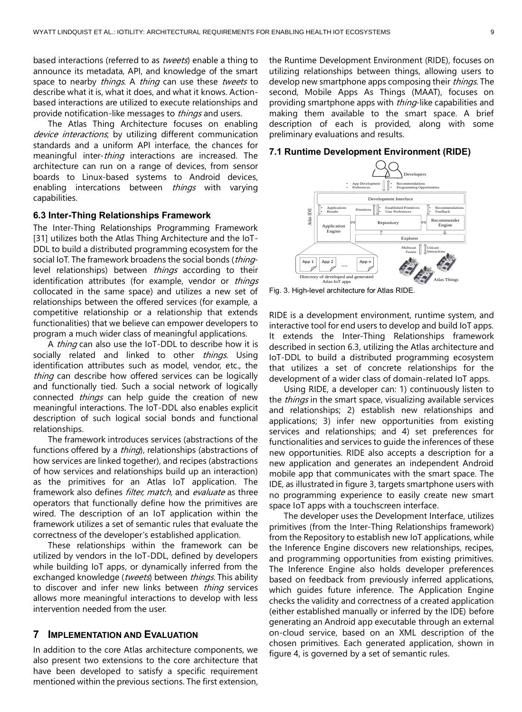based interactions (referred to as *tweets*) enable a thing to announce its metadata, API, and knowledge of the smart space to nearby *things*. A *thing* can use these tweets to describe what it is, what it does, and what it knows. Actionbased interactions are utilized to execute relationships and provide notification-like messages to *things* and users.

The Atlas Thing Architecture focuses on enabling device interactions, by utilizing different communication standards and a uniform API interface, the chances for meaningful inter-*thing* interactions are increased. The architecture can run on a range of devices, from sensor boards to Linux-based systems to Android devices, enabling intercations between *things* with varying capabilities.

## **6.3 Inter-Thing Relationships Framework**

The Inter-Thing Relationships Programming Framework [31] utilizes both the Atlas Thing Architecture and the IoT-DDL to build a distributed programming ecosystem for the social IoT. The framework broadens the social bonds (thinglevel relationships) between *things* according to their identification attributes (for example, vendor or things collocated in the same space) and utilizes a new set of relationships between the offered services (for example, a competitive relationship or a relationship that extends functionalities) that we believe can empower developers to program a much wider class of meaningful applications.

A thing can also use the IoT-DDL to describe how it is socially related and linked to other things. Using identification attributes such as model, vendor, etc., the thing can describe how offered services can be logically and functionally tied. Such a social network of logically connected *things* can help guide the creation of new meaningful interactions. The IoT-DDL also enables explicit description of such logical social bonds and functional relationships.

The framework introduces services (abstractions of the functions offered by a *thing*), relationships (abstractions of how services are linked together), and recipes (abstractions of how services and relationships build up an interaction) as the primitives for an Atlas IoT application. The framework also defines *filter, match*, and evaluate as three operators that functionally define how the primitives are wired. The description of an IoT application within the framework utilizes a set of semantic rules that evaluate the correctness of the developer's established application.

These relationships within the framework can be utilized by vendors in the IoT-DDL, defined by developers while building IoT apps, or dynamically inferred from the exchanged knowledge (tweets) between things. This ability to discover and infer new links between *thing* services allows more meaningful interactions to develop with less intervention needed from the user.

# **7 IMPLEMENTATION AND EVALUATION**

In addition to the core Atlas architecture components, we also present two extensions to the core architecture that have been developed to satisfy a specific requirement mentioned within the previous sections. The first extension, the Runtime Development Environment (RIDE), focuses on utilizing relationships between things, allowing users to develop new smartphone apps composing their *things*. The second, Mobile Apps As Things (MAAT), focuses on providing smartphone apps with *thing*-like capabilities and making them available to the smart space. A brief description of each is provided, along with some preliminary evaluations and results.

#### **7.1 Runtime Development Environment (RIDE)**



Fig. 3. High-level architecture for Atlas RIDE.

RIDE is a development environment, runtime system, and interactive tool for end users to develop and build IoT apps. It extends the Inter-Thing Relationships framework described in section 6.3, utilizing the Atlas architecture and IoT-DDL to build a distributed programming ecosystem that utilizes a set of concrete relationships for the development of a wider class of domain-related IoT apps.

Using RIDE, a developer can: 1) continuously listen to the *things* in the smart space, visualizing available services and relationships; 2) establish new relationships and applications; 3) infer new opportunities from existing services and relationships; and 4) set preferences for functionalities and services to guide the inferences of these new opportunities. RIDE also accepts a description for a new application and generates an independent Android mobile app that communicates with the smart space. The IDE, as illustrated in figure 3, targets smartphone users with no programming experience to easily create new smart space IoT apps with a touchscreen interface.

The developer uses the Development Interface, utilizes primitives (from the Inter-Thing Relationships framework) from the Repository to establish new IoT applications, while the Inference Engine discovers new relationships, recipes, and programming opportunities from existing primitives. The Inference Engine also holds developer preferences based on feedback from previously inferred applications, which guides future inference. The Application Engine checks the validity and correctness of a created application (either established manually or inferred by the IDE) before generating an Android app executable through an external on-cloud service, based on an XML description of the chosen primitives. Each generated application, shown in figure 4, is governed by a set of semantic rules.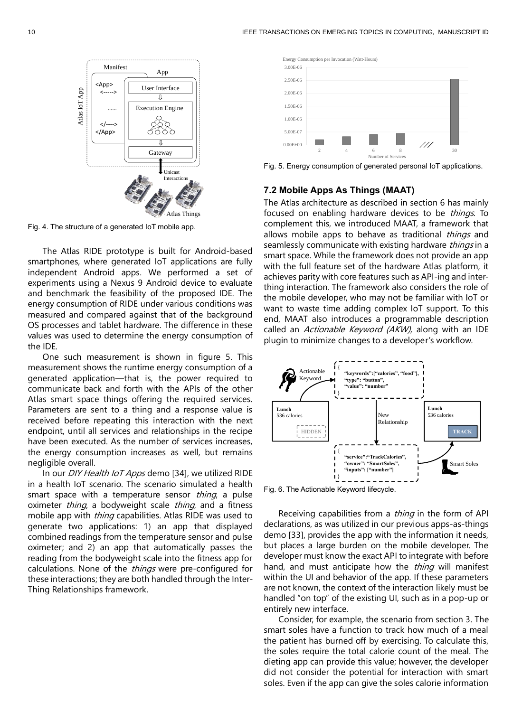

Fig. 4. The structure of a generated IoT mobile app.

The Atlas RIDE prototype is built for Android-based smartphones, where generated IoT applications are fully independent Android apps. We performed a set of experiments using a Nexus 9 Android device to evaluate and benchmark the feasibility of the proposed IDE. The energy consumption of RIDE under various conditions was measured and compared against that of the background OS processes and tablet hardware. The difference in these values was used to determine the energy consumption of the IDE.

One such measurement is shown in figure 5. This measurement shows the runtime energy consumption of a generated application—that is, the power required to communicate back and forth with the APIs of the other Atlas smart space things offering the required services. Parameters are sent to a thing and a response value is received before repeating this interaction with the next endpoint, until all services and relationships in the recipe have been executed. As the number of services increases, the energy consumption increases as well, but remains negligible overall.

In our *DIY Health IoT Apps* demo [34], we utilized RIDE in a health IoT scenario. The scenario simulated a health smart space with a temperature sensor thing, a pulse oximeter *thing*, a bodyweight scale *thing*, and a fitness mobile app with *thing* capabilities. Atlas RIDE was used to generate two applications: 1) an app that displayed combined readings from the temperature sensor and pulse oximeter; and 2) an app that automatically passes the reading from the bodyweight scale into the fitness app for calculations. None of the *things* were pre-configured for these interactions; they are both handled through the Inter-Thing Relationships framework.



Fig. 5. Energy consumption of generated personal IoT applications.

# **7.2 Mobile Apps As Things (MAAT)**

The Atlas architecture as described in section 6 has mainly focused on enabling hardware devices to be *things*. To complement this, we introduced MAAT, a framework that allows mobile apps to behave as traditional *things* and seamlessly communicate with existing hardware things in a smart space. While the framework does not provide an app with the full feature set of the hardware Atlas platform, it achieves parity with core features such as API-ing and interthing interaction. The framework also considers the role of the mobile developer, who may not be familiar with IoT or want to waste time adding complex IoT support. To this end, MAAT also introduces a programmable description called an *Actionable Keyword (AKW)*, along with an IDE plugin to minimize changes to a developer's workflow.



Fig. 6. The Actionable Keyword lifecycle.

Receiving capabilities from a *thing* in the form of API declarations, as was utilized in our previous apps-as-things demo [33], provides the app with the information it needs, but places a large burden on the mobile developer. The developer must know the exact API to integrate with before hand, and must anticipate how the *thing* will manifest within the UI and behavior of the app. If these parameters are not known, the context of the interaction likely must be handled "on top" of the existing UI, such as in a pop-up or entirely new interface.

Consider, for example, the scenario from section 3. The smart soles have a function to track how much of a meal the patient has burned off by exercising. To calculate this, the soles require the total calorie count of the meal. The dieting app can provide this value; however, the developer did not consider the potential for interaction with smart soles. Even if the app can give the soles calorie information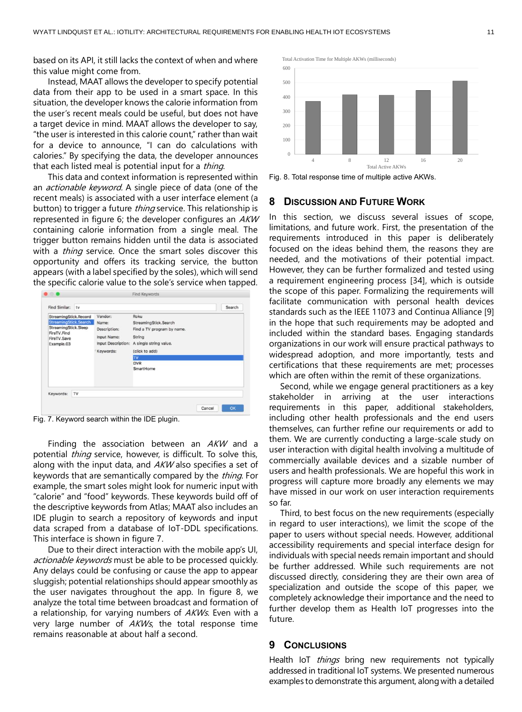based on its API, it still lacks the context of when and where this value might come from.

Instead, MAAT allows the developer to specify potential data from their app to be used in a smart space. In this situation, the developer knows the calorie information from the user's recent meals could be useful, but does not have a target device in mind. MAAT allows the developer to say, "the user is interested in this calorie count," rather than wait for a device to announce, "I can do calculations with calories." By specifying the data, the developer announces that each listed meal is potential input for a *thing*.

This data and context information is represented within an *actionable keyword*. A single piece of data (one of the recent meals) is associated with a user interface element (a button) to trigger a future *thing* service. This relationship is represented in figure 6; the developer configures an AKW containing calorie information from a single meal. The trigger button remains hidden until the data is associated with a *thing* service. Once the smart soles discover this opportunity and offers its tracking service, the button appears (with a label specified by the soles), which will send the specific calorie value to the sole's service when tapped.

| StreamingStick.Record        | Vendor:            | Roku                       |  |
|------------------------------|--------------------|----------------------------|--|
| <b>StreamingStick.Search</b> | Name:              | StreamingStick.Search      |  |
| StreamingStick.Sleep         | Description:       | Find a TV program by name. |  |
| FireTV.Find<br>FireTV.Save   | Input Name:        | String                     |  |
| Example.03                   | Input Description: | A single string value.     |  |
|                              | Keywords:          | (click to add)             |  |
|                              |                    | <b>TV</b>                  |  |
|                              |                    | <b>DVR</b>                 |  |
|                              |                    | SmartHome                  |  |
| Keywords:<br>TV              |                    |                            |  |

Fig. 7. Keyword search within the IDE plugin.

Finding the association between an AKW and a potential thing service, however, is difficult. To solve this, along with the input data, and  $AKW$  also specifies a set of keywords that are semantically compared by the *thing*. For example, the smart soles might look for numeric input with "calorie" and "food" keywords. These keywords build off of the descriptive keywords from Atlas; MAAT also includes an IDE plugin to search a repository of keywords and input data scraped from a database of IoT-DDL specifications. This interface is shown in figure 7.

Due to their direct interaction with the mobile app's UI, actionable keywords must be able to be processed quickly. Any delays could be confusing or cause the app to appear sluggish; potential relationships should appear smoothly as the user navigates throughout the app. In figure 8, we analyze the total time between broadcast and formation of a relationship, for varying numbers of AKWs. Even with a very large number of  $AKWs$ , the total response time remains reasonable at about half a second.



Fig. 8. Total response time of multiple active AKWs.

# **8 DISCUSSION AND FUTURE WORK**

In this section, we discuss several issues of scope, limitations, and future work. First, the presentation of the requirements introduced in this paper is deliberately focused on the ideas behind them, the reasons they are needed, and the motivations of their potential impact. However, they can be further formalized and tested using a requirement engineering process [34], which is outside the scope of this paper. Formalizing the requirements will facilitate communication with personal health devices standards such as the IEEE 11073 and Continua Alliance [9] in the hope that such requirements may be adopted and included within the standard bases. Engaging standards organizations in our work will ensure practical pathways to widespread adoption, and more importantly, tests and certifications that these requirements are met; processes which are often within the remit of these organizations.

Second, while we engage general practitioners as a key stakeholder in arriving at the user interactions requirements in this paper, additional stakeholders, including other health professionals and the end users themselves, can further refine our requirements or add to them. We are currently conducting a large-scale study on user interaction with digital health involving a multitude of commercially available devices and a sizable number of users and health professionals. We are hopeful this work in progress will capture more broadly any elements we may have missed in our work on user interaction requirements so far.

Third, to best focus on the new requirements (especially in regard to user interactions), we limit the scope of the paper to users without special needs. However, additional accessibility requirements and special interface design for individuals with special needs remain important and should be further addressed. While such requirements are not discussed directly, considering they are their own area of specialization and outside the scope of this paper, we completely acknowledge their importance and the need to further develop them as Health IoT progresses into the future.

## **9 CONCLUSIONS**

Health IoT *things* bring new requirements not typically addressed in traditional IoT systems. We presented numerous examples to demonstrate this argument, along with a detailed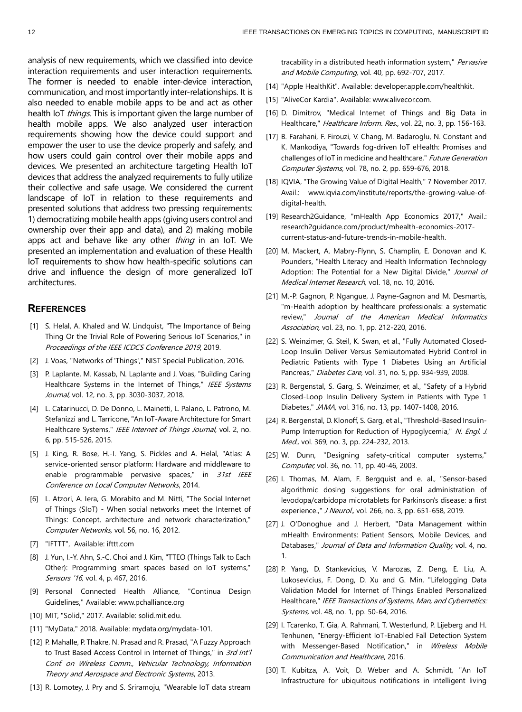analysis of new requirements, which we classified into device interaction requirements and user interaction requirements. The former is needed to enable inter-device interaction, communication, and most importantly inter-relationships. It is also needed to enable mobile apps to be and act as other health IoT *things*. This is important given the large number of health mobile apps. We also analyzed user interaction requirements showing how the device could support and empower the user to use the device properly and safely, and how users could gain control over their mobile apps and devices. We presented an architecture targeting Health IoT devices that address the analyzed requirements to fully utilize their collective and safe usage. We considered the current landscape of IoT in relation to these requirements and presented solutions that address two pressing requirements: 1) democratizing mobile health apps (giving users control and ownership over their app and data), and 2) making mobile apps act and behave like any other thing in an IoT. We presented an implementation and evaluation of these Health IoT requirements to show how health-specific solutions can drive and influence the design of more generalized IoT architectures.

# **REFERENCES**

- [1] S. Helal, A. Khaled and W. Lindquist, "The Importance of Being Thing Or the Trivial Role of Powering Serious IoT Scenarios," in Proceedings of the IEEE ICDCS Conference 2019, 2019.
- [2] J. Voas, "Networks of 'Things'," NIST Special Publication, 2016.
- [3] P. Laplante, M. Kassab, N. Laplante and J. Voas, "Building Caring Healthcare Systems in the Internet of Things," IEEE Systems Journal, vol. 12, no. 3, pp. 3030-3037, 2018.
- [4] L. Catarinucci, D. De Donno, L. Mainetti, L. Palano, L. Patrono, M. Stefanizzi and L. Tarricone, "An IoT-Aware Architecture for Smart Healthcare Systems," IEEE Internet of Things Journal, vol. 2, no. 6, pp. 515-526, 2015.
- [5] J. King, R. Bose, H.-I. Yang, S. Pickles and A. Helal, "Atlas: A service-oriented sensor platform: Hardware and middleware to enable programmable pervasive spaces," in 31st IEEE Conference on Local Computer Networks, 2014.
- [6] L. Atzori, A. Iera, G. Morabito and M. Nitti, "The Social Internet of Things (SIoT) - When social networks meet the Internet of Things: Concept, architecture and network characterization," Computer Networks, vol. 56, no. 16, 2012.
- [7] "IFTTT", Available: ifttt.com
- [8] J. Yun, I.-Y. Ahn, S.-C. Choi and J. Kim, "TTEO (Things Talk to Each Other): Programming smart spaces based on IoT systems," Sensors '16, vol. 4, p. 467, 2016.
- [9] Personal Connected Health Alliance, "Continua Design Guidelines," Available: www.pchalliance.org
- [10] MIT, "Solid," 2017. Available: solid.mit.edu.
- [11] "MyData," 2018. Available: mydata.org/mydata-101.
- [12] P. Mahalle, P. Thakre, N. Prasad and R. Prasad, "A Fuzzy Approach to Trust Based Access Control in Internet of Things," in 3rd Int'l Conf. on Wireless Comm., Vehicular Technology, Information Theory and Aerospace and Electronic Systems, 2013.
- [13] R. Lomotey, J. Pry and S. Sriramoju, "Wearable IoT data stream

tracability in a distributed heath information system," Pervasive and Mobile Computing, vol. 40, pp. 692-707, 2017.

- [14] "Apple HealthKit". Available: developer.apple.com/healthkit.
- [15] "AliveCor Kardia". Available: www.alivecor.com.
- [16] D. Dimitrov, "Medical Internet of Things and Big Data in Healthcare," Healthcare Inform. Res., vol. 22, no. 3, pp. 156-163.
- [17] B. Farahani, F. Firouzi, V. Chang, M. Badaroglu, N. Constant and K. Mankodiya, "Towards fog-driven IoT eHealth: Promises and challenges of IoT in medicine and healthcare," Future Generation Computer Systems, vol. 78, no. 2, pp. 659-676, 2018.
- [18] IQVIA, "The Growing Value of Digital Health," 7 November 2017. Avail.: www.iqvia.com/institute/reports/the-growing-value-ofdigital-health.
- [19] Research2Guidance, "mHealth App Economics 2017," Avail.: research2guidance.com/product/mhealth-economics-2017 current-status-and-future-trends-in-mobile-health.
- [20] M. Mackert, A. Mabry-Flynn, S. Champlin, E. Donovan and K. Pounders, "Health Literacy and Health Information Technology Adoption: The Potential for a New Digital Divide," Journal of Medical Internet Research, vol. 18, no. 10, 2016.
- [21] M.-P. Gagnon, P. Ngangue, J. Payne-Gagnon and M. Desmartis, "m-Health adoption by healthcare professionals: a systematic review," Journal of the American Medical Informatics Association, vol. 23, no. 1, pp. 212-220, 2016.
- [22] S. Weinzimer, G. Steil, K. Swan, et al., "Fully Automated Closed-Loop Insulin Deliver Versus Semiautomated Hybrid Control in Pediatric Patients with Type 1 Diabetes Using an Artificial Pancreas," Diabetes Care, vol. 31, no. 5, pp. 934-939, 2008.
- [23] R. Bergenstal, S. Garg, S. Weinzimer, et al., "Safety of a Hybrid Closed-Loop Insulin Delivery System in Patients with Type 1 Diabetes," JAMA, vol. 316, no. 13, pp. 1407-1408, 2016.
- [24] R. Bergenstal, D. Klonoff, S. Garg, et al., "Threshold-Based Insulin-Pump Interruption for Reduction of Hypoglycemia," N. Engl. J. Med., vol. 369, no. 3, pp. 224-232, 2013.
- [25] W. Dunn, "Designing safety-critical computer systems," Computer, vol. 36, no. 11, pp. 40-46, 2003.
- [26] I. Thomas, M. Alam, F. Bergquist and e. al., "Sensor-based algorithmic dosing suggestions for oral administration of levodopa/carbidopa microtablets for Parkinson's disease: a first experience.," J Neurol., vol. 266, no. 3, pp. 651-658, 2019.
- [27] J. O'Donoghue and J. Herbert, "Data Management within mHealth Environments: Patient Sensors, Mobile Devices, and Databases," Journal of Data and Information Quality, vol. 4, no. 1.
- [28] P. Yang, D. Stankevicius, V. Marozas, Z. Deng, E. Liu, A. Lukosevicius, F. Dong, D. Xu and G. Min, "Lifelogging Data Validation Model for Internet of Things Enabled Personalized Healthcare," IEEE Transactions of Systems, Man, and Cybernetics: Systems, vol. 48, no. 1, pp. 50-64, 2016.
- [29] I. Tcarenko, T. Gia, A. Rahmani, T. Westerlund, P. Lijeberg and H. Tenhunen, "Energy-Efficient IoT-Enabled Fall Detection System with Messenger-Based Notification," in Wireless Mobile Communication and Healthcare, 2016.
- [30] T. Kubitza, A. Voit, D. Weber and A. Schmidt, "An IoT Infrastructure for ubiquitous notifications in intelligent living